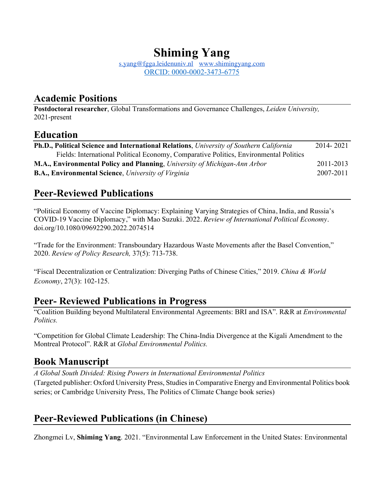# **Shiming Yang**

s.yang@fgga.leidenuniv.nl www.shimingyang.com ORCID: 0000-0002-3473-6775

# **Academic Positions**

**Postdoctoral researcher**, Global Transformations and Governance Challenges, *Leiden University,* 2021-present

### **Education**

| Ph.D., Political Science and International Relations, University of Southern California | 2014-2021 |
|-----------------------------------------------------------------------------------------|-----------|
| Fields: International Political Economy, Comparative Politics, Environmental Politics   |           |
| <b>M.A., Environmental Policy and Planning, University of Michigan-Ann Arbor</b>        | 2011-2013 |
| <b>B.A., Environmental Science</b> , University of Virginia                             | 2007-2011 |

# **Peer-Reviewed Publications**

"Political Economy of Vaccine Diplomacy: Explaining Varying Strategies of China, India, and Russia's COVID-19 Vaccine Diplomacy," with Mao Suzuki. 2022*. Review of International Political Economy.*  doi.org/10.1080/09692290.2022.2074514

"Trade for the Environment: Transboundary Hazardous Waste Movements after the Basel Convention," 2020. *Review of Policy Research,* 37(5): 713-738.

"Fiscal Decentralization or Centralization: Diverging Paths of Chinese Cities," 2019. *China & World Economy*, 27(3): 102-125.

# **Peer- Reviewed Publications in Progress**

"Coalition Building beyond Multilateral Environmental Agreements: BRI and ISA". R&R at *Environmental Politics.* 

"Competition for Global Climate Leadership: The China-India Divergence at the Kigali Amendment to the Montreal Protocol". R&R at *Global Environmental Politics.*

# **Book Manuscript**

*A Global South Divided: Rising Powers in International Environmental Politics* (Targeted publisher: Oxford University Press, Studies in Comparative Energy and Environmental Politics book series; or Cambridge University Press, The Politics of Climate Change book series)

# **Peer-Reviewed Publications (in Chinese)**

Zhongmei Lv, **Shiming Yang**. 2021. "Environmental Law Enforcement in the United States: Environmental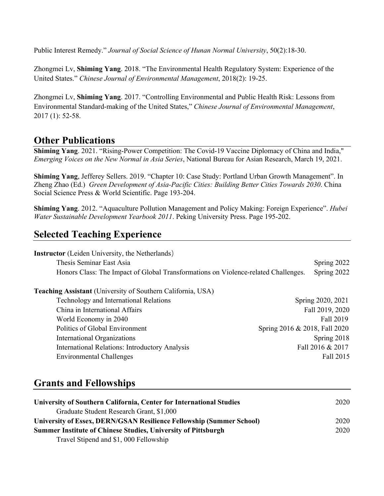Public Interest Remedy." *Journal of Social Science of Hunan Normal University*, 50(2):18-30.

Zhongmei Lv, **Shiming Yang**. 2018. "The Environmental Health Regulatory System: Experience of the United States." *Chinese Journal of Environmental Management*, 2018(2): 19-25.

Zhongmei Lv, **Shiming Yang**. 2017. "Controlling Environmental and Public Health Risk: Lessons from Environmental Standard-making of the United States," *Chinese Journal of Environmental Management*, 2017 (1): 52-58.

# **Other Publications**

**Shiming Yang**. 2021. "Rising-Power Competition: The Covid-19 Vaccine Diplomacy of China and India," *Emerging Voices on the New Normal in Asia Series*, National Bureau for Asian Research, March 19, 2021.

**Shiming Yang**, Jefferey Sellers. 2019. "Chapter 10: Case Study: Portland Urban Growth Management". In Zheng Zhao (Ed.) *Green Development of Asia-Pacific Cities: Building Better Cities Towards 2030*. China Social Science Press & World Scientific. Page 193-204.

**Shiming Yang**. 2012. "Aquaculture Pollution Management and Policy Making: Foreign Experience". *Hubei Water Sustainable Development Yearbook 2011*. Peking University Press. Page 195-202.

# **Selected Teaching Experience**

| <b>Instructor</b> (Leiden University, the Netherlands)                             |                               |
|------------------------------------------------------------------------------------|-------------------------------|
| Thesis Seminar East Asia                                                           | Spring 2022                   |
| Honors Class: The Impact of Global Transformations on Violence-related Challenges. | Spring 2022                   |
| <b>Teaching Assistant</b> (University of Southern California, USA)                 |                               |
| Technology and International Relations                                             | Spring 2020, 2021             |
| China in International Affairs                                                     | Fall 2019, 2020               |
| World Economy in 2040                                                              | Fall 2019                     |
| Politics of Global Environment                                                     | Spring 2016 & 2018, Fall 2020 |
| International Organizations                                                        | Spring 2018                   |
| <b>International Relations: Introductory Analysis</b>                              | Fall 2016 & 2017              |
| <b>Environmental Challenges</b>                                                    | Fall 2015                     |

### **Grants and Fellowships**

| University of Southern California, Center for International Studies  | 2020 |
|----------------------------------------------------------------------|------|
| Graduate Student Research Grant, \$1,000                             |      |
| University of Essex, DERN/GSAN Resilience Fellowship (Summer School) | 2020 |
| <b>Summer Institute of Chinese Studies, University of Pittsburgh</b> | 2020 |
| Travel Stipend and \$1,000 Fellowship                                |      |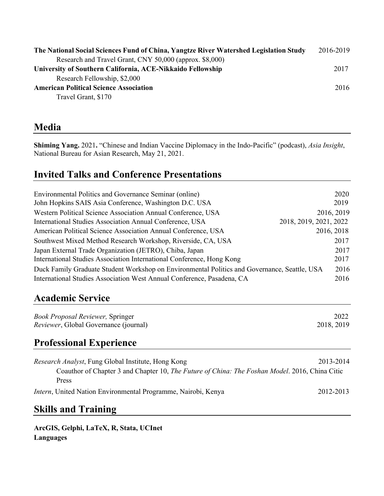| The National Social Sciences Fund of China, Yangtze River Watershed Legislation Study | 2016-2019 |
|---------------------------------------------------------------------------------------|-----------|
| Research and Travel Grant, CNY 50,000 (approx. \$8,000)                               |           |
| University of Southern California, ACE-Nikkaido Fellowship                            | 2017      |
| Research Fellowship, \$2,000                                                          |           |
| <b>American Political Science Association</b>                                         | 2016      |
| Travel Grant, \$170                                                                   |           |

### **Media**

**Shiming Yang.** 2021**.** "Chinese and Indian Vaccine Diplomacy in the Indo-Pacific" (podcast), *Asia Insight*, National Bureau for Asian Research, May 21, 2021.

# **Invited Talks and Conference Presentations**

| Environmental Politics and Governance Seminar (online)                                       | 2020                   |
|----------------------------------------------------------------------------------------------|------------------------|
| John Hopkins SAIS Asia Conference, Washington D.C. USA                                       | 2019                   |
| Western Political Science Association Annual Conference, USA                                 | 2016, 2019             |
| International Studies Association Annual Conference, USA                                     | 2018, 2019, 2021, 2022 |
| American Political Science Association Annual Conference, USA                                | 2016, 2018             |
| Southwest Mixed Method Research Workshop, Riverside, CA, USA                                 | 2017                   |
| Japan External Trade Organization (JETRO), Chiba, Japan                                      | 2017                   |
| International Studies Association International Conference, Hong Kong                        | 2017                   |
| Duck Family Graduate Student Workshop on Environmental Politics and Governance, Seattle, USA | 2016                   |
| International Studies Association West Annual Conference, Pasadena, CA                       | 2016                   |
|                                                                                              |                        |

# **Academic Service**

| <b>Book Proposal Reviewer, Springer</b>       | 2022       |
|-----------------------------------------------|------------|
| <i>Reviewer</i> , Global Governance (journal) | 2018, 2019 |

# **Professional Experience**

| <i>Research Analyst</i> , Fung Global Institute, Hong Kong                                             | 2013-2014 |
|--------------------------------------------------------------------------------------------------------|-----------|
| Coauthor of Chapter 3 and Chapter 10, <i>The Future of China: The Foshan Model</i> . 2016, China Citic |           |
| Press                                                                                                  |           |
| <i>Intern</i> , United Nation Environmental Programme, Nairobi, Kenya                                  | 2012-2013 |

# **Skills and Training**

**ArcGIS, Gelphi, LaTeX, R, Stata, UCInet Languages**